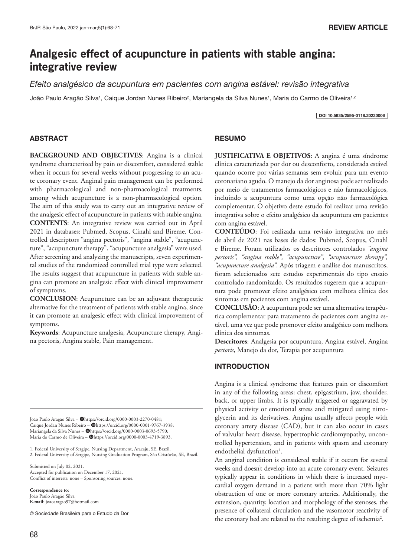# **Analgesic effect of acupuncture in patients with stable angina: integrative review**

*Efeito analgésico da acupuntura em pacientes com angina estável: revisão integrativa*

João Paulo Aragão Silva<sup>1</sup>, Caique Jordan Nunes Ribeiro<sup>2</sup>, Mariangela da Silva Nunes<sup>1</sup>, Maria do Carmo de Oliveira<sup>1,2</sup>

DOI 10.5935/2595-0118.20220006

#### ABSTRACT

**BACKGROUND AND OBJECTIVES**: Angina is a clinical syndrome characterized by pain or discomfort, considered stable when it occurs for several weeks without progressing to an acute coronary event. Anginal pain management can be performed with pharmacological and non-pharmacological treatments, among which acupuncture is a non-pharmacological option. The aim of this study was to carry out an integrative review of the analgesic effect of acupuncture in patients with stable angina. **CONTENTS**: An integrative review was carried out in April 2021 in databases: Pubmed, Scopus, Cinahl and Bireme. Controlled descriptors "angina pectoris", "angina stable", "acupuncture", "acupuncture therapy", "acupuncture analgesia" were used. After screening and analyzing the manuscripts, seven experimental studies of the randomized controlled trial type were selected. The results suggest that acupuncture in patients with stable angina can promote an analgesic effect with clinical improvement of symptoms.

**CONCLUSION**: Acupuncture can be an adjuvant therapeutic alternative for the treatment of patients with stable angina, since it can promote an analgesic effect with clinical improvement of symptoms.

**Keywords**: Acupuncture analgesia, Acupuncture therapy, Angina pectoris, Angina stable, Pain management.

João Paulo Aragão Silva - @https://orcid.org/0000-0003-2270-0481; Caique Jordan Nunes Ribeiro - @https://orcid.org/0000-0001-9767-3938; Mariangela da Silva Nunes - @https://orcid.org/0000-0003-0693-5790; Maria do Carmo de Oliveira - @https://orcid.org/0000-0003-4719-3893.

1. Federal University of Sergipe, Nursing Department, Aracaju, SE, Brazil. 2. Federal University of Sergipe, Nursing Graduation Program, São Cristóvão, SE, Brazil.

Submitted on July 02, 2021. Accepted for publication on December 17, 2021. Conflict of interests: none – Sponsoring sources: none.

**Correspondence to**: João Paulo Aragão Silva **E-mail**: joaoaragao97@hotmail.com

© Sociedade Brasileira para o Estudo da Dor

## RESUMO

**JUSTIFICATIVA E OBJETIVOS**: A angina é uma síndrome clínica caracterizada por dor ou desconforto, considerada estável quando ocorre por várias semanas sem evoluir para um evento coronariano agudo. O manejo da dor anginosa pode ser realizado por meio de tratamentos farmacológicos e não farmacológicos, incluindo a acupuntura como uma opção não farmacológica complementar. O objetivo deste estudo foi realizar uma revisão integrativa sobre o efeito analgésico da acupuntura em pacientes com angina estável.

**CONTEÚDO**: Foi realizada uma revisão integrativa no mês de abril de 2021 nas bases de dados: Pubmed, Scopus, Cinahl e Bireme. Foram utilizados os descritores controlados *"angina pectoris", "angina stable", "acupuncture", "acupuncture therapy", "acupuncture analgesia"*. Após triagem e análise dos manuscritos, foram selecionados sete estudos experimentais do tipo ensaio controlado randomizado. Os resultados sugerem que a acupuntura pode promover efeito analgésico com melhora clínica dos sintomas em pacientes com angina estável.

**CONCLUSÃO**: A acupuntura pode ser uma alternativa terapêutica complementar para tratamento de pacientes com angina estável, uma vez que pode promover efeito analgésico com melhora clínica dos sintomas.

**Descritores**: Analgesia por acupuntura, Angina estável, Angina *pectoris*, Manejo da dor, Terapia por acupuntura

### INTRODUCTION

Angina is a clinical syndrome that features pain or discomfort in any of the following areas: chest, epigastrium, jaw, shoulder, back, or upper limbs. It is typically triggered or aggravated by physical activity or emotional stress and mitigated using nitroglycerin and its derivatives. Angina usually affects people with coronary artery disease (CAD), but it can also occur in cases of valvular heart disease, hypertrophic cardiomyopathy, uncontrolled hypertension, and in patients with spasm and coronary endothelial dysfunction<sup>1</sup>.

An anginal condition is considered stable if it occurs for several weeks and doesn't develop into an acute coronary event. Seizures typically appear in conditions in which there is increased myocardial oxygen demand in a patient with more than 70% light obstruction of one or more coronary arteries. Additionally, the extension, quantity, location and morphology of the stenoses, the presence of collateral circulation and the vasomotor reactivity of the coronary bed are related to the resulting degree of ischemia<sup>2</sup>.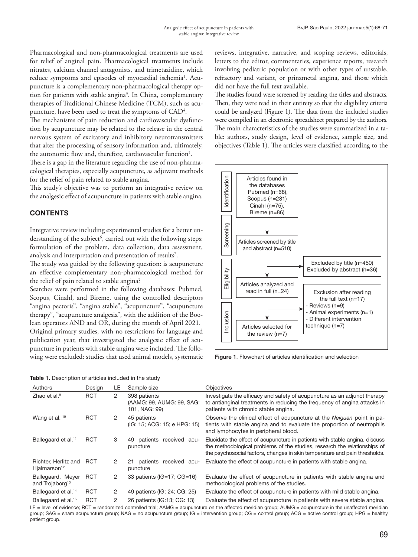Pharmacological and non-pharmacological treatments are used for relief of anginal pain. Pharmacological treatments include nitrates, calcium channel antagonists, and trimetazidine, which reduce symptoms and episodes of myocardial ischemia<sup>1</sup>. Acupuncture is a complementary non-pharmacological therapy option for patients with stable angina<sup>3</sup>. In China, complementary therapies of Traditional Chinese Medicine (TCM), such as acupuncture, have been used to treat the symptoms of  ${\rm CAD^4}.$ 

The mechanisms of pain reduction and cardiovascular dysfunction by acupuncture may be related to the release in the central nervous system of excitatory and inhibitory neurotransmitters that alter the processing of sensory information and, ultimately, the autonomic flow and, therefore, cardiovascular function<sup>5</sup>.

There is a gap in the literature regarding the use of non-pharmacological therapies, especially acupuncture, as adjuvant methods for the relief of pain related to stable angina.

This study's objective was to perform an integrative review on the analgesic effect of acupuncture in patients with stable angina.

#### **CONTENTS**

Integrative review including experimental studies for a better understanding of the subject<sup>6</sup>, carried out with the following steps: formulation of the problem, data collection, data assessment, analysis and interpretation and presentation of results<sup>7</sup>.

The study was guided by the following question: is acupuncture an effective complementary non-pharmacological method for the relief of pain related to stable angina?

Searches were performed in the following databases: Pubmed, Scopus, Cinahl, and Bireme, using the controlled descriptors "angina pectoris", "angina stable", "acupuncture", "acupuncture therapy", "acupuncture analgesia", with the addition of the Boolean operators AND and OR, during the month of April 2021. Original primary studies, with no restrictions for language and publication year, that investigated the analgesic effect of acupuncture in patients with stable angina were included. The following were excluded: studies that used animal models, systematic

reviews, integrative, narrative, and scoping reviews, editorials, letters to the editor, commentaries, experience reports, research involving pediatric population or with other types of unstable, refractory and variant, or prinzmetal angina, and those which did not have the full text available.

The studies found were screened by reading the titles and abstracts. Then, they were read in their entirety so that the eligibility criteria could be analyzed (Figure 1). The data from the included studies were compiled in an electronic spreadsheet prepared by the authors. The main characteristics of the studies were summarized in a table: authors, study design, level of evidence, sample size, and objectives (Table 1). The articles were classified according to the



Figure 1. Flowchart of articles identification and selection

|  | Table 1. Description of articles included in the study |  |  |  |
|--|--------------------------------------------------------|--|--|--|
|  |                                                        |  |  |  |

| Authors                                          | Design     | LE | Sample size                                                | <b>Objectives</b>                                                                                                                                                                                                                      |
|--------------------------------------------------|------------|----|------------------------------------------------------------|----------------------------------------------------------------------------------------------------------------------------------------------------------------------------------------------------------------------------------------|
| Zhao et al. <sup>9</sup>                         | <b>RCT</b> | 2  | 398 patients<br>(AAMG: 99, AUMG: 99, SAG:<br>101, NAG: 99) | Investigate the efficacy and safety of acupuncture as an adjunct therapy<br>to antianginal treatments in reducing the frequency of angina attacks in<br>patients with chronic stable angina.                                           |
| Wang et al. 10                                   | <b>RCT</b> | 2  | 45 patients<br>(IG: 15; ACG: 15; e HPG: 15)                | Observe the clinical effect of acupuncture at the <i>Neiguan</i> point in pa-<br>tients with stable angina and to evaluate the proportion of neutrophils<br>and lymphocytes in peripheral blood.                                       |
| Ballegaard et al. <sup>11</sup>                  | <b>RCT</b> | 3  | patients<br>received<br>49.<br>acu-<br>puncture            | Elucidate the effect of acupuncture in patients with stable angina, discuss<br>the methodological problems of the studies, research the relationships of<br>the psychosocial factors, changes in skin temperature and pain thresholds. |
| Richter, Herlitz and<br>Hialmarson <sup>12</sup> | RCT        | 2  | patients received acu-<br>21<br>puncture                   | Evaluate the effect of acupuncture in patients with stable angina.                                                                                                                                                                     |
| Ballegaard, Meyer<br>and Trojaborg <sup>13</sup> | <b>RCT</b> | 2  | 33 patients ( $IG=17$ ; $CG=16$ )                          | Evaluate the effect of acupuncture in patients with stable angina and<br>methodological problems of the studies.                                                                                                                       |
| Ballegaard et al. <sup>14</sup>                  | <b>RCT</b> | 2  | 49 patients (IG: 24; CG: 25)                               | Evaluate the effect of acupuncture in patients with mild stable angina.                                                                                                                                                                |
| Ballegaard et al. <sup>15</sup>                  | <b>RCT</b> | 2  | 26 patients (IG:13: CG: 13)                                | Evaluate the effect of acupuncture in patients with severe stable angina.                                                                                                                                                              |

LE = level of evidence; RCT = randomized controlled trial; AAMG = acupuncture on the affected meridian group; AUMG = acupuncture in the unaffected meridian group; SAG = sham acupuncture group; NAG = no acupuncture group; IG = intervention group; CG = control group; ACG = active control group; HPG = healthy patient group.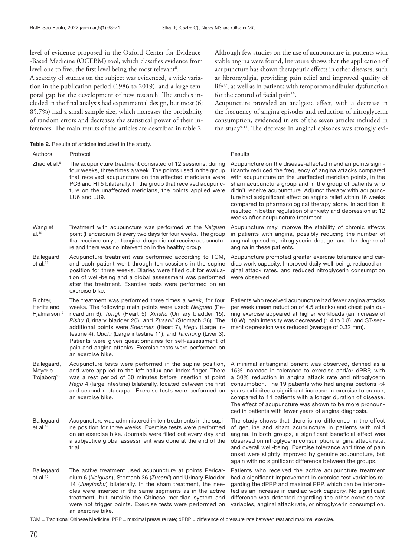level of evidence proposed in the Oxford Center for Evidence- -Based Medicine (OCEBM) tool, which classifies evidence from level one to five, the first level being the most relevant<sup>8</sup>.

A scarcity of studies on the subject was evidenced, a wide variation in the publication period (1986 to 2019), and a large temporal gap for the development of new research. The studies included in the final analysis had experimental design, but most (6; 85.7%) had a small sample size, which increases the probability of random errors and decreases the statistical power of their inferences. The main results of the articles are described in table 2. Although few studies on the use of acupuncture in patients with stable angina were found, literature shows that the application of acupuncture has shown therapeutic effects in other diseases, such as fibromyalgia, providing pain relief and improved quality of life17, as well as in patients with temporomandibular dysfunction for the control of facial pain<sup>18</sup>.

Acupuncture provided an analgesic effect, with a decrease in the frequency of angina episodes and reduction of nitroglycerin consumption, evidenced in six of the seven articles included in the study9-14. The decrease in anginal episodes was strongly evi-

| Table 2. Results of articles included in the study. |  |  |  |  |  |  |  |
|-----------------------------------------------------|--|--|--|--|--|--|--|
|-----------------------------------------------------|--|--|--|--|--|--|--|

| Authors                                             | Protocol                                                                                                                                                                                                                                                                                                                                                                                                                                                                                                                         | Results                                                                                                                                                                                                                                                                                                                                                                                                                                                                                                                                              |
|-----------------------------------------------------|----------------------------------------------------------------------------------------------------------------------------------------------------------------------------------------------------------------------------------------------------------------------------------------------------------------------------------------------------------------------------------------------------------------------------------------------------------------------------------------------------------------------------------|------------------------------------------------------------------------------------------------------------------------------------------------------------------------------------------------------------------------------------------------------------------------------------------------------------------------------------------------------------------------------------------------------------------------------------------------------------------------------------------------------------------------------------------------------|
| Zhao et al. <sup>9</sup>                            | The acupuncture treatment consisted of 12 sessions, during<br>four weeks, three times a week. The points used in the group<br>that received acupuncture on the affected meridians were<br>PC6 and HT5 bilaterally. In the group that received acupunc-<br>ture on the unaffected meridians, the points applied were<br>LU6 and LU9.                                                                                                                                                                                              | Acupuncture on the disease-affected meridian points signi-<br>ficantly reduced the frequency of angina attacks compared<br>with acupuncture on the unaffected meridian points, in the<br>sham acupuncture group and in the group of patients who<br>didn't receive acupuncture. Adjunct therapy with acupunc-<br>ture had a significant effect on angina relief within 16 weeks<br>compared to pharmacological therapy alone. In addition, it<br>resulted in better regulation of anxiety and depression at 12<br>weeks after acupuncture treatment. |
| Wang et<br>al. <sup>10</sup>                        | Treatment with acupuncture was performed at the Neiguan<br>point (Pericardium 6) every two days for four weeks. The group<br>that received only antianginal drugs did not receive acupunctu-<br>re and there was no intervention in the healthy group.                                                                                                                                                                                                                                                                           | Acupuncture may improve the stability of chronic effects<br>in patients with angina, possibly reducing the number of<br>anginal episodes, nitroglycerin dosage, and the degree of<br>angina in these patients.                                                                                                                                                                                                                                                                                                                                       |
| Ballegaard<br>$et$ al. $11$                         | Acupuncture treatment was performed according to TCM,<br>and each patient went through ten sessions in the supine<br>position for three weeks. Diaries were filled out for evalua-<br>tion of well-being and a global assessment was performed<br>after the treatment. Exercise tests were performed on an<br>exercise bike.                                                                                                                                                                                                     | Acupuncture promoted greater exercise tolerance and car-<br>diac work capacity. Improved daily well-being, reduced an-<br>ginal attack rates, and reduced nitroglycerin consumption<br>were observed.                                                                                                                                                                                                                                                                                                                                                |
| Richter,<br>Herlitz and<br>Hjalmarson <sup>12</sup> | The treatment was performed three times a week, for four<br>weeks. The following main points were used: Neiguan (Pe-<br>ricardium 6), Tongli (Heart 5), Xinshu (Urinary bladder 15),<br>Pishu (Urinary bladder 20), and Zusanli (Stomach 36). The<br>additional points were Shenmen (Heart 7), Hegu (Large in-<br>testine 4), Quchi (Large intestine 11), and Taichong (Liver 3).<br>Patients were given questionnaires for self-assessment of<br>pain and angina attacks. Exercise tests were performed on<br>an exercise bike. | Patients who received acupuncture had fewer angina attacks<br>per week (mean reduction of 4.5 attacks) and chest pain du-<br>ring exercise appeared at higher workloads (an increase of<br>10 W), pain intensity was decreased (1.4 to 0.8), and ST-seg-<br>ment depression was reduced (average of 0.32 mm).                                                                                                                                                                                                                                        |
| Ballegaard,<br>Meyer e<br>Trojaborg <sup>13</sup>   | Acupuncture tests were performed in the supine position,<br>and were applied to the left hallux and index finger. There<br>was a rest period of 30 minutes before insertion at point<br>Hegu 4 (large intestine) bilaterally, located between the first<br>and second metacarpal. Exercise tests were performed on<br>an exercise bike.                                                                                                                                                                                          | A minimal antianginal benefit was observed, defined as a<br>15% increase in tolerance to exercise and/or dPRP, with<br>a 30% reduction in angina attack rate and nitroglycerin<br>consumption. The 19 patients who had angina pectoris <4<br>years exhibited a significant increase in exercise tolerance,<br>compared to 14 patients with a longer duration of disease.<br>The effect of acupuncture was shown to be more pronoun-<br>ced in patients with fewer years of angina diagnosis.                                                         |
| Ballegaard<br>$et$ al. <sup>14</sup>                | Acupuncture was administered in ten treatments in the supi-<br>ne position for three weeks. Exercise tests were performed<br>on an exercise bike. Journals were filled out every day and<br>a subjective global assessment was done at the end of the<br>trial.                                                                                                                                                                                                                                                                  | The study shows that there is no difference in the effect<br>of genuine and sham acupuncture in patients with mild<br>angina. In both groups, a significant beneficial effect was<br>observed on nitroglycerin consumption, angina attack rate,<br>and overall well-being. Exercise tolerance and time of pain<br>onset were slightly improved by genuine acupuncture, but<br>again with no significant difference between the groups.                                                                                                               |
| Ballegaard<br>et al. $15$                           | The active treatment used acupuncture at points Pericar-<br>dium 6 (Neiguan), Stomach 36 (Zusanli) and Urinary Bladder<br>14 (Jueyinshu) bilaterally. In the sham treatment, the nee-<br>dles were inserted in the same segments as in the active<br>treatment, but outside the Chinese meridian system and<br>were not trigger points. Exercise tests were performed on<br>an exercise bike.                                                                                                                                    | Patients who received the active acupuncture treatment<br>had a significant improvement in exercise test variables re-<br>garding the dPRP and maximal PRP, which can be interpre-<br>ted as an increase in cardiac work capacity. No significant<br>difference was detected regarding the other exercise test<br>variables, anginal attack rate, or nitroglycerin consumption.                                                                                                                                                                      |

TCM = Traditional Chinese Medicine; PRP = maximal pressure rate; dPRP = difference of pressure rate between rest and maximal exercise.